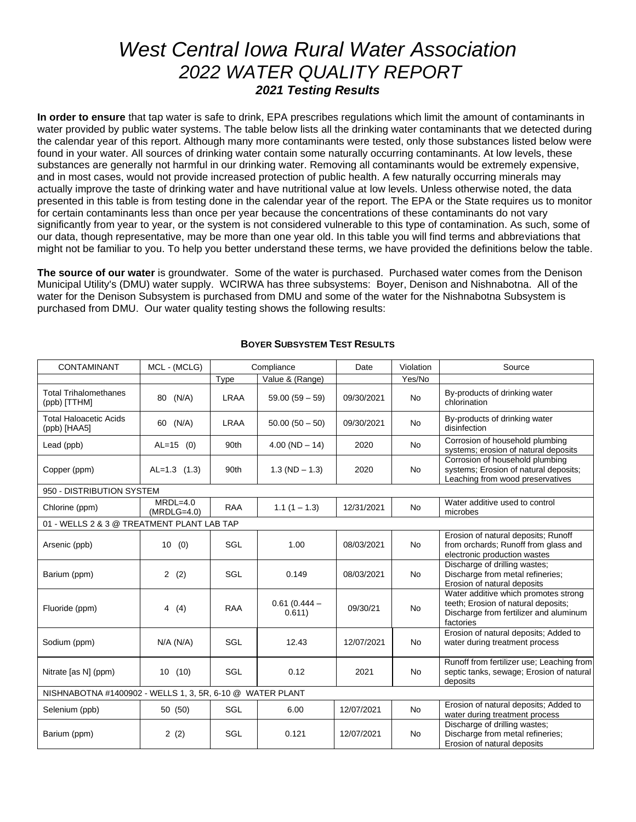# *West Central Iowa Rural Water Association 2022 WATER QUALITY REPORT 2021 Testing Results*

**In order to ensure** that tap water is safe to drink, EPA prescribes regulations which limit the amount of contaminants in water provided by public water systems. The table below lists all the drinking water contaminants that we detected during the calendar year of this report. Although many more contaminants were tested, only those substances listed below were found in your water. All sources of drinking water contain some naturally occurring contaminants. At low levels, these substances are generally not harmful in our drinking water. Removing all contaminants would be extremely expensive, and in most cases, would not provide increased protection of public health. A few naturally occurring minerals may actually improve the taste of drinking water and have nutritional value at low levels. Unless otherwise noted, the data presented in this table is from testing done in the calendar year of the report. The EPA or the State requires us to monitor for certain contaminants less than once per year because the concentrations of these contaminants do not vary significantly from year to year, or the system is not considered vulnerable to this type of contamination. As such, some of our data, though representative, may be more than one year old. In this table you will find terms and abbreviations that might not be familiar to you. To help you better understand these terms, we have provided the definitions below the table.

**The source of our water** is groundwater. Some of the water is purchased. Purchased water comes from the Denison Municipal Utility's (DMU) water supply. WCIRWA has three subsystems: Boyer, Denison and Nishnabotna. All of the water for the Denison Subsystem is purchased from DMU and some of the water for the Nishnabotna Subsystem is purchased from DMU. Our water quality testing shows the following results:

| <b>CONTAMINANT</b>                            | MCL - (MCLG)                                              |             | Compliance               | Date       | Violation | Source                                                                                                                             |  |  |
|-----------------------------------------------|-----------------------------------------------------------|-------------|--------------------------|------------|-----------|------------------------------------------------------------------------------------------------------------------------------------|--|--|
|                                               |                                                           | Type        | Value & (Range)          |            | Yes/No    |                                                                                                                                    |  |  |
| <b>Total Trihalomethanes</b><br>(ppb) [TTHM]  | 80 (N/A)                                                  | <b>LRAA</b> | $59.00(59-59)$           | 09/30/2021 | <b>No</b> | By-products of drinking water<br>chlorination                                                                                      |  |  |
| <b>Total Haloacetic Acids</b><br>(ppb) [HAA5] | 60 (N/A)                                                  | <b>LRAA</b> | $50.00(50-50)$           | 09/30/2021 | <b>No</b> | By-products of drinking water<br>disinfection                                                                                      |  |  |
| Lead (ppb)                                    | $AL=15$ (0)                                               | 90th        | $4.00 (ND - 14)$         | 2020       | <b>No</b> | Corrosion of household plumbing<br>systems; erosion of natural deposits                                                            |  |  |
| Copper (ppm)                                  | $AL=1.3$ (1.3)                                            | 90th        | $1.3 (ND - 1.3)$         | 2020       | <b>No</b> | Corrosion of household plumbing<br>systems; Erosion of natural deposits;<br>Leaching from wood preservatives                       |  |  |
| 950 - DISTRIBUTION SYSTEM                     |                                                           |             |                          |            |           |                                                                                                                                    |  |  |
| Chlorine (ppm)                                | $MRDL=4.0$<br>$(MRDLG=4.0)$                               | <b>RAA</b>  | $1.1(1 - 1.3)$           | 12/31/2021 | No.       | Water additive used to control<br>microbes                                                                                         |  |  |
| 01 - WELLS 2 & 3 @ TREATMENT PLANT LAB TAP    |                                                           |             |                          |            |           |                                                                                                                                    |  |  |
| Arsenic (ppb)                                 | 10(0)                                                     | SGL         | 1.00                     | 08/03/2021 | <b>No</b> | Erosion of natural deposits; Runoff<br>from orchards; Runoff from glass and<br>electronic production wastes                        |  |  |
| Barium (ppm)                                  | 2(2)                                                      | SGL         | 0.149                    | 08/03/2021 | <b>No</b> | Discharge of drilling wastes;<br>Discharge from metal refineries;<br>Erosion of natural deposits                                   |  |  |
| Fluoride (ppm)                                | 4(4)                                                      | RAA         | $0.61(0.444 -$<br>0.611) | 09/30/21   | <b>No</b> | Water additive which promotes strong<br>teeth; Erosion of natural deposits;<br>Discharge from fertilizer and aluminum<br>factories |  |  |
| Sodium (ppm)                                  | $N/A$ ( $N/A$ )                                           | SGL         | 12.43                    | 12/07/2021 | <b>No</b> | Erosion of natural deposits; Added to<br>water during treatment process                                                            |  |  |
| Nitrate [as N] (ppm)                          | 10(10)                                                    | SGL         | 0.12                     | 2021       | <b>No</b> | Runoff from fertilizer use; Leaching from<br>septic tanks, sewage; Erosion of natural<br>deposits                                  |  |  |
|                                               | NISHNABOTNA #1400902 - WELLS 1, 3, 5R, 6-10 @ WATER PLANT |             |                          |            |           |                                                                                                                                    |  |  |
| Selenium (ppb)                                | 50 (50)                                                   | SGL         | 6.00                     | 12/07/2021 | <b>No</b> | Erosion of natural deposits; Added to<br>water during treatment process                                                            |  |  |
| Barium (ppm)                                  | 2(2)                                                      | SGL         | 0.121                    | 12/07/2021 | <b>No</b> | Discharge of drilling wastes;<br>Discharge from metal refineries;<br>Erosion of natural deposits                                   |  |  |

### **BOYER SUBSYSTEM TEST RESULTS**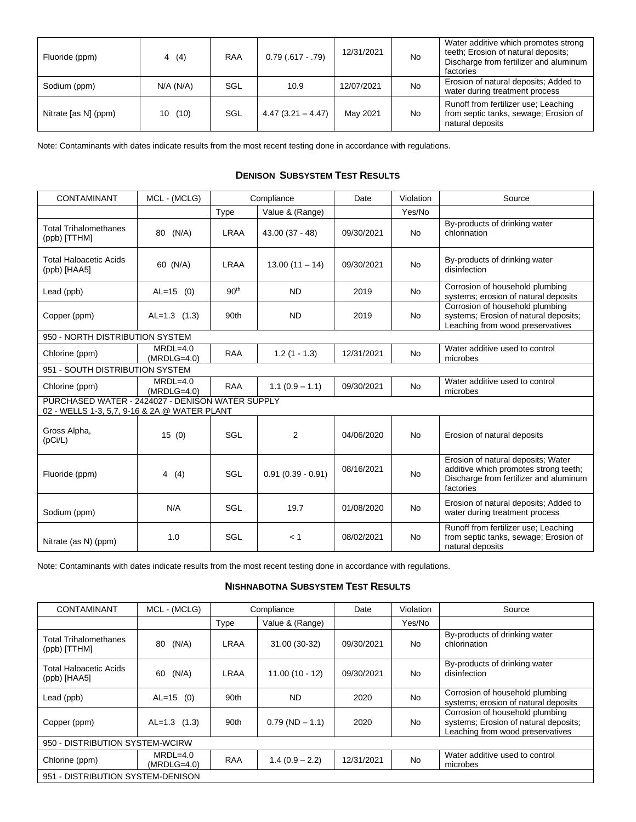| Fluoride (ppm)       | 4(4)      | <b>RAA</b> | $0.79(.617-.79)$    | 12/31/2021 | <b>No</b> | Water additive which promotes strong<br>teeth; Erosion of natural deposits;<br>Discharge from fertilizer and aluminum<br>factories |
|----------------------|-----------|------------|---------------------|------------|-----------|------------------------------------------------------------------------------------------------------------------------------------|
| Sodium (ppm)         | N/A (N/A) | SGL        | 10.9                | 12/07/2021 | No        | Erosion of natural deposits; Added to<br>water during treatment process                                                            |
| Nitrate [as N] (ppm) | 10(10)    | SGL        | $4.47(3.21 - 4.47)$ | May 2021   | No        | Runoff from fertilizer use; Leaching<br>from septic tanks, sewage; Erosion of<br>natural deposits                                  |

Note: Contaminants with dates indicate results from the most recent testing done in accordance with regulations.

### **DENISON SUBSYSTEM TEST RESULTS**

| CONTAMINANT                                                                                      | MCL - (MCLG)                |                  | Compliance          | Date       | Violation | Source                                                                                                                             |
|--------------------------------------------------------------------------------------------------|-----------------------------|------------------|---------------------|------------|-----------|------------------------------------------------------------------------------------------------------------------------------------|
|                                                                                                  |                             | Type             | Value & (Range)     |            | Yes/No    |                                                                                                                                    |
| <b>Total Trihalomethanes</b><br>(ppb) [TTHM]                                                     | (N/A)<br>80                 | <b>LRAA</b>      | $43.00(37 - 48)$    | 09/30/2021 | <b>No</b> | By-products of drinking water<br>chlorination                                                                                      |
| <b>Total Haloacetic Acids</b><br>(ppb) [HAA5]                                                    | 60 (N/A)                    | <b>LRAA</b>      | $13.00(11 - 14)$    | 09/30/2021 | <b>No</b> | By-products of drinking water<br>disinfection                                                                                      |
| Lead (ppb)                                                                                       | $AL=15$ (0)                 | 90 <sup>th</sup> | <b>ND</b>           | 2019       | <b>No</b> | Corrosion of household plumbing<br>systems; erosion of natural deposits                                                            |
| Copper (ppm)                                                                                     | $AL=1.3$ (1.3)              | 90th             | <b>ND</b>           | 2019       | <b>No</b> | Corrosion of household plumbing<br>systems; Erosion of natural deposits;<br>Leaching from wood preservatives                       |
| 950 - NORTH DISTRIBUTION SYSTEM                                                                  |                             |                  |                     |            |           |                                                                                                                                    |
| Chlorine (ppm)                                                                                   | $MRDL=4.0$<br>$(MRDLG=4.0)$ | <b>RAA</b>       | $1.2(1 - 1.3)$      | 12/31/2021 | <b>No</b> | Water additive used to control<br>microbes                                                                                         |
| 951 - SOUTH DISTRIBUTION SYSTEM                                                                  |                             |                  |                     |            |           |                                                                                                                                    |
| Chlorine (ppm)                                                                                   | $MRDL=4.0$<br>$(MRDLG=4.0)$ | <b>RAA</b>       | $1.1(0.9 - 1.1)$    | 09/30/2021 | <b>No</b> | Water additive used to control<br>microbes                                                                                         |
| PURCHASED WATER - 2424027 - DENISON WATER SUPPLY<br>02 - WELLS 1-3, 5,7, 9-16 & 2A @ WATER PLANT |                             |                  |                     |            |           |                                                                                                                                    |
| Gross Alpha,<br>(pCi/L)                                                                          | 15(0)                       | SGL              | 2                   | 04/06/2020 | <b>No</b> | Erosion of natural deposits                                                                                                        |
| Fluoride (ppm)                                                                                   | 4(4)                        | SGL              | $0.91(0.39 - 0.91)$ | 08/16/2021 | <b>No</b> | Erosion of natural deposits; Water<br>additive which promotes strong teeth;<br>Discharge from fertilizer and aluminum<br>factories |
| Sodium (ppm)                                                                                     | N/A                         | SGL              | 19.7                | 01/08/2020 | <b>No</b> | Erosion of natural deposits; Added to<br>water during treatment process                                                            |
| Nitrate (as N) (ppm)                                                                             | 1.0                         | SGL              | < 1                 | 08/02/2021 | <b>No</b> | Runoff from fertilizer use; Leaching<br>from septic tanks, sewage; Erosion of<br>natural deposits                                  |

Note: Contaminants with dates indicate results from the most recent testing done in accordance with regulations.

### **NISHNABOTNA SUBSYSTEM TEST RESULTS**

| <b>CONTAMINANT</b>                           | MCL - (MCLG)                |            | Compliance       |            | Violation | Source                                                                                                       |  |
|----------------------------------------------|-----------------------------|------------|------------------|------------|-----------|--------------------------------------------------------------------------------------------------------------|--|
|                                              |                             | Type       | Value & (Range)  |            | Yes/No    |                                                                                                              |  |
| <b>Total Trihalomethanes</b><br>(ppb) [TTHM] | (N/A)<br>80                 | LRAA       | 31.00 (30-32)    | 09/30/2021 | No.       | By-products of drinking water<br>chlorination                                                                |  |
| Total Haloacetic Acids<br>(ppb) [HAA5]       | (N/A)<br>60                 | LRAA       | $11.00(10 - 12)$ | 09/30/2021 | No.       | By-products of drinking water<br>disinfection                                                                |  |
| Lead (ppb)                                   | $AL=15$ (0)                 | 90th       | <b>ND</b>        | 2020       | No        | Corrosion of household plumbing<br>systems; erosion of natural deposits                                      |  |
| Copper (ppm)                                 | $AL=1.3$ (1.3)              | 90th       | $0.79(ND - 1.1)$ | 2020       | No.       | Corrosion of household plumbing<br>systems; Erosion of natural deposits;<br>Leaching from wood preservatives |  |
| 950 - DISTRIBUTION SYSTEM-WCIRW              |                             |            |                  |            |           |                                                                                                              |  |
| Chlorine (ppm)                               | $MRDL=4.0$<br>$(MRDLG=4.0)$ | <b>RAA</b> | $1.4(0.9 - 2.2)$ | 12/31/2021 | <b>No</b> | Water additive used to control<br>microbes                                                                   |  |
| 951 - DISTRIBUTION SYSTEM-DENISON            |                             |            |                  |            |           |                                                                                                              |  |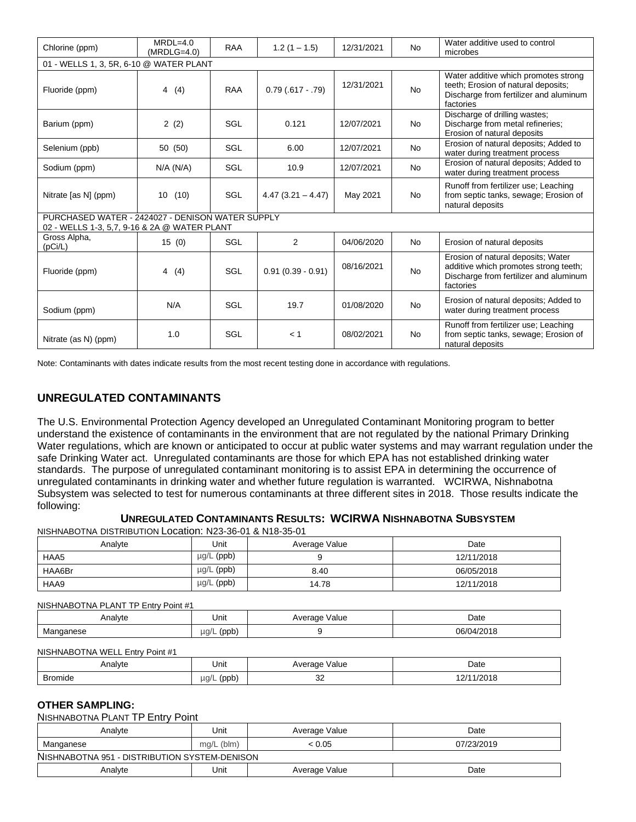| Chlorine (ppm)                                                                                   | $MRDL=4.0$<br>$(MRDLG=4.0)$ | <b>RAA</b> | $1.2(1 - 1.5)$      | 12/31/2021 | <b>No</b> | Water additive used to control<br>microbes                                                                                         |  |  |  |
|--------------------------------------------------------------------------------------------------|-----------------------------|------------|---------------------|------------|-----------|------------------------------------------------------------------------------------------------------------------------------------|--|--|--|
| 01 - WELLS 1, 3, 5R, 6-10 @ WATER PLANT                                                          |                             |            |                     |            |           |                                                                                                                                    |  |  |  |
| Fluoride (ppm)                                                                                   | 4(4)                        | <b>RAA</b> | $0.79(.617-.79)$    | 12/31/2021 | <b>No</b> | Water additive which promotes strong<br>teeth; Erosion of natural deposits;<br>Discharge from fertilizer and aluminum<br>factories |  |  |  |
| Barium (ppm)                                                                                     | 2(2)                        | SGL        | 0.121               | 12/07/2021 | <b>No</b> | Discharge of drilling wastes;<br>Discharge from metal refineries;<br>Erosion of natural deposits                                   |  |  |  |
| Selenium (ppb)                                                                                   | 50 (50)                     | SGL        | 6.00                | 12/07/2021 | No.       | Erosion of natural deposits; Added to<br>water during treatment process                                                            |  |  |  |
| Sodium (ppm)                                                                                     | N/A (N/A)                   | SGL        | 10.9                | 12/07/2021 | <b>No</b> | Erosion of natural deposits; Added to<br>water during treatment process                                                            |  |  |  |
| Nitrate [as N] (ppm)                                                                             | 10(10)                      | SGL        | $4.47(3.21 - 4.47)$ | May 2021   | <b>No</b> | Runoff from fertilizer use; Leaching<br>from septic tanks, sewage; Erosion of<br>natural deposits                                  |  |  |  |
| PURCHASED WATER - 2424027 - DENISON WATER SUPPLY<br>02 - WELLS 1-3, 5,7, 9-16 & 2A @ WATER PLANT |                             |            |                     |            |           |                                                                                                                                    |  |  |  |
| Gross Alpha,<br>(pCi/L)                                                                          | 15(0)                       | SGL        | 2                   | 04/06/2020 | <b>No</b> | Erosion of natural deposits                                                                                                        |  |  |  |
| Fluoride (ppm)                                                                                   | 4<br>(4)                    | SGL        | $0.91(0.39 - 0.91)$ | 08/16/2021 | <b>No</b> | Erosion of natural deposits; Water<br>additive which promotes strong teeth;<br>Discharge from fertilizer and aluminum<br>factories |  |  |  |
| Sodium (ppm)                                                                                     | N/A                         | SGL        | 19.7                | 01/08/2020 | <b>No</b> | Erosion of natural deposits; Added to<br>water during treatment process                                                            |  |  |  |
| Nitrate (as N) (ppm)                                                                             | 1.0                         | SGL        | < 1                 | 08/02/2021 | <b>No</b> | Runoff from fertilizer use; Leaching<br>from septic tanks, sewage; Erosion of<br>natural deposits                                  |  |  |  |

Note: Contaminants with dates indicate results from the most recent testing done in accordance with regulations.

# **UNREGULATED CONTAMINANTS**

The U.S. Environmental Protection Agency developed an Unregulated Contaminant Monitoring program to better understand the existence of contaminants in the environment that are not regulated by the national Primary Drinking Water regulations, which are known or anticipated to occur at public water systems and may warrant regulation under the safe Drinking Water act. Unregulated contaminants are those for which EPA has not established drinking water standards. The purpose of unregulated contaminant monitoring is to assist EPA in determining the occurrence of unregulated contaminants in drinking water and whether future regulation is warranted. WCIRWA, Nishnabotna Subsystem was selected to test for numerous contaminants at three different sites in 2018. Those results indicate the following:

## **UNREGULATED CONTAMINANTS RESULTS: WCIRWA NISHNABOTNA SUBSYSTEM**

NISHNABOTNA DISTRIBUTION Location: N23-36-01 & N18-35-01

| Analyte | Unit       | Average Value | Date       |
|---------|------------|---------------|------------|
| HAA5    | µg/L (ppb) |               | 12/11/2018 |
| HAA6Br  | µg/L (ppb) | 8.40          | 06/05/2018 |
| HAA9    | µg/L (ppb) | 14.78         | 12/11/2018 |

#### NISHNABOTNA PLANT TP Entry Point #1

| . Analyte                            | Unit                      | √alue<br>.<br>VE<br>- 16<br>$  -$<br>$\sim$ $\sim$<br>. . | Date<br>.        |
|--------------------------------------|---------------------------|-----------------------------------------------------------|------------------|
| າese<br><b>IVIC</b><br>$\sim$ $\sim$ | $\mu$ g/L<br>'nnh<br>/hhn |                                                           | 06/04/<br>1/2018 |

#### NISHNABOTNA WELL Entry Point #1

| Analvte | Unit               | Average Value | Date       |
|---------|--------------------|---------------|------------|
| Bromide | $\mu$ q/L<br>(ppb) | nr<br>ےں      | 12/11/2018 |

#### **OTHER SAMPLING:**

#### NISHNABOTNA PLANT TP Entry Point

| Analvte                                       | Unit         | Average Value | Date       |  |
|-----------------------------------------------|--------------|---------------|------------|--|
| Manganese                                     | $mq/L$ (blm) | < 0.05        | 07/23/2019 |  |
| NISHNABOTNA 951 - DISTRIBUTION SYSTEM-DENISON |              |               |            |  |
| Analvte                                       | Unit         | Average Value | Date       |  |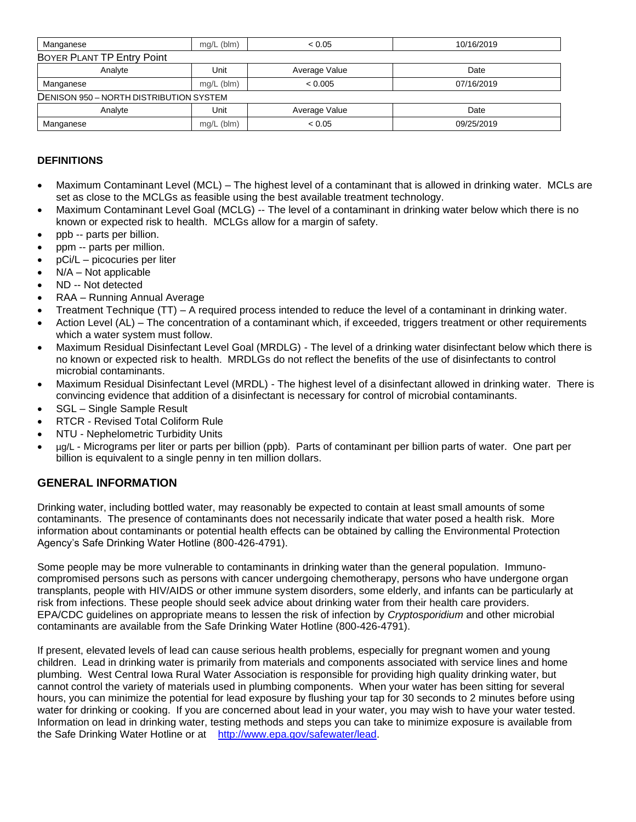| Manganese                               | $mg/L$ (blm) | < 0.05        | 10/16/2019 |
|-----------------------------------------|--------------|---------------|------------|
| BOYER PLANT TP Entry Point              |              |               |            |
| Analyte                                 | Unit         | Average Value | Date       |
| Manganese                               | $mq/L$ (blm) | < 0.005       | 07/16/2019 |
| DENISON 950 - NORTH DISTRIBUTION SYSTEM |              |               |            |
| Analyte                                 | Unit         | Average Value | Date       |
| Manganese                               | $mq/L$ (blm) | < 0.05        | 09/25/2019 |

# **DEFINITIONS**

- Maximum Contaminant Level (MCL) The highest level of a contaminant that is allowed in drinking water. MCLs are set as close to the MCLGs as feasible using the best available treatment technology.
- Maximum Contaminant Level Goal (MCLG) -- The level of a contaminant in drinking water below which there is no known or expected risk to health. MCLGs allow for a margin of safety.
- ppb -- parts per billion.
- ppm -- parts per million.
- pCi/L picocuries per liter
- N/A Not applicable
- ND -- Not detected
- RAA Running Annual Average
- Treatment Technique (TT) A required process intended to reduce the level of a contaminant in drinking water.
- Action Level (AL) The concentration of a contaminant which, if exceeded, triggers treatment or other requirements which a water system must follow.
- Maximum Residual Disinfectant Level Goal (MRDLG) The level of a drinking water disinfectant below which there is no known or expected risk to health. MRDLGs do not reflect the benefits of the use of disinfectants to control microbial contaminants.
- Maximum Residual Disinfectant Level (MRDL) The highest level of a disinfectant allowed in drinking water. There is convincing evidence that addition of a disinfectant is necessary for control of microbial contaminants.
- SGL Single Sample Result
- RTCR Revised Total Coliform Rule
- NTU Nephelometric Turbidity Units
- µg/L Micrograms per liter or parts per billion (ppb). Parts of contaminant per billion parts of water. One part per billion is equivalent to a single penny in ten million dollars.

# **GENERAL INFORMATION**

Drinking water, including bottled water, may reasonably be expected to contain at least small amounts of some contaminants. The presence of contaminants does not necessarily indicate that water posed a health risk. More information about contaminants or potential health effects can be obtained by calling the Environmental Protection Agency's Safe Drinking Water Hotline (800-426-4791).

Some people may be more vulnerable to contaminants in drinking water than the general population. Immunocompromised persons such as persons with cancer undergoing chemotherapy, persons who have undergone organ transplants, people with HIV/AIDS or other immune system disorders, some elderly, and infants can be particularly at risk from infections. These people should seek advice about drinking water from their health care providers. EPA/CDC guidelines on appropriate means to lessen the risk of infection by *Cryptosporidium* and other microbial contaminants are available from the Safe Drinking Water Hotline (800-426-4791).

If present, elevated levels of lead can cause serious health problems, especially for pregnant women and young children. Lead in drinking water is primarily from materials and components associated with service lines and home plumbing. West Central Iowa Rural Water Association is responsible for providing high quality drinking water, but cannot control the variety of materials used in plumbing components. When your water has been sitting for several hours, you can minimize the potential for lead exposure by flushing your tap for 30 seconds to 2 minutes before using water for drinking or cooking. If you are concerned about lead in your water, you may wish to have your water tested. Information on lead in drinking water, testing methods and steps you can take to minimize exposure is available from the Safe Drinking Water Hotline or at [http://www.epa.gov/safewater/lead.](http://www.epa.gov/safewater/lead)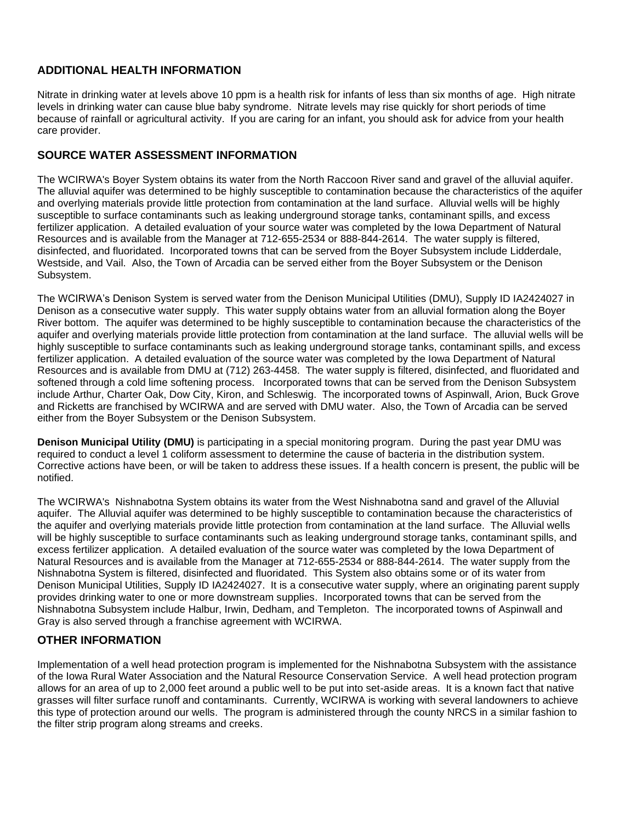# **ADDITIONAL HEALTH INFORMATION**

Nitrate in drinking water at levels above 10 ppm is a health risk for infants of less than six months of age. High nitrate levels in drinking water can cause blue baby syndrome. Nitrate levels may rise quickly for short periods of time because of rainfall or agricultural activity. If you are caring for an infant, you should ask for advice from your health care provider.

# **SOURCE WATER ASSESSMENT INFORMATION**

The WCIRWA's Boyer System obtains its water from the North Raccoon River sand and gravel of the alluvial aquifer. The alluvial aquifer was determined to be highly susceptible to contamination because the characteristics of the aquifer and overlying materials provide little protection from contamination at the land surface. Alluvial wells will be highly susceptible to surface contaminants such as leaking underground storage tanks, contaminant spills, and excess fertilizer application. A detailed evaluation of your source water was completed by the Iowa Department of Natural Resources and is available from the Manager at 712-655-2534 or 888-844-2614. The water supply is filtered, disinfected, and fluoridated. Incorporated towns that can be served from the Boyer Subsystem include Lidderdale, Westside, and Vail. Also, the Town of Arcadia can be served either from the Boyer Subsystem or the Denison Subsystem.

The WCIRWA's Denison System is served water from the Denison Municipal Utilities (DMU), Supply ID IA2424027 in Denison as a consecutive water supply. This water supply obtains water from an alluvial formation along the Boyer River bottom. The aquifer was determined to be highly susceptible to contamination because the characteristics of the aquifer and overlying materials provide little protection from contamination at the land surface. The alluvial wells will be highly susceptible to surface contaminants such as leaking underground storage tanks, contaminant spills, and excess fertilizer application. A detailed evaluation of the source water was completed by the Iowa Department of Natural Resources and is available from DMU at (712) 263-4458. The water supply is filtered, disinfected, and fluoridated and softened through a cold lime softening process. Incorporated towns that can be served from the Denison Subsystem include Arthur, Charter Oak, Dow City, Kiron, and Schleswig. The incorporated towns of Aspinwall, Arion, Buck Grove and Ricketts are franchised by WCIRWA and are served with DMU water. Also, the Town of Arcadia can be served either from the Boyer Subsystem or the Denison Subsystem.

**Denison Municipal Utility (DMU)** is participating in a special monitoring program. During the past year DMU was required to conduct a level 1 coliform assessment to determine the cause of bacteria in the distribution system. Corrective actions have been, or will be taken to address these issues. If a health concern is present, the public will be notified.

The WCIRWA's Nishnabotna System obtains its water from the West Nishnabotna sand and gravel of the Alluvial aquifer. The Alluvial aquifer was determined to be highly susceptible to contamination because the characteristics of the aquifer and overlying materials provide little protection from contamination at the land surface. The Alluvial wells will be highly susceptible to surface contaminants such as leaking underground storage tanks, contaminant spills, and excess fertilizer application. A detailed evaluation of the source water was completed by the Iowa Department of Natural Resources and is available from the Manager at 712-655-2534 or 888-844-2614. The water supply from the Nishnabotna System is filtered, disinfected and fluoridated. This System also obtains some or of its water from Denison Municipal Utilities, Supply ID IA2424027. It is a consecutive water supply, where an originating parent supply provides drinking water to one or more downstream supplies. Incorporated towns that can be served from the Nishnabotna Subsystem include Halbur, Irwin, Dedham, and Templeton. The incorporated towns of Aspinwall and Gray is also served through a franchise agreement with WCIRWA.

# **OTHER INFORMATION**

Implementation of a well head protection program is implemented for the Nishnabotna Subsystem with the assistance of the Iowa Rural Water Association and the Natural Resource Conservation Service. A well head protection program allows for an area of up to 2,000 feet around a public well to be put into set-aside areas. It is a known fact that native grasses will filter surface runoff and contaminants. Currently, WCIRWA is working with several landowners to achieve this type of protection around our wells. The program is administered through the county NRCS in a similar fashion to the filter strip program along streams and creeks.